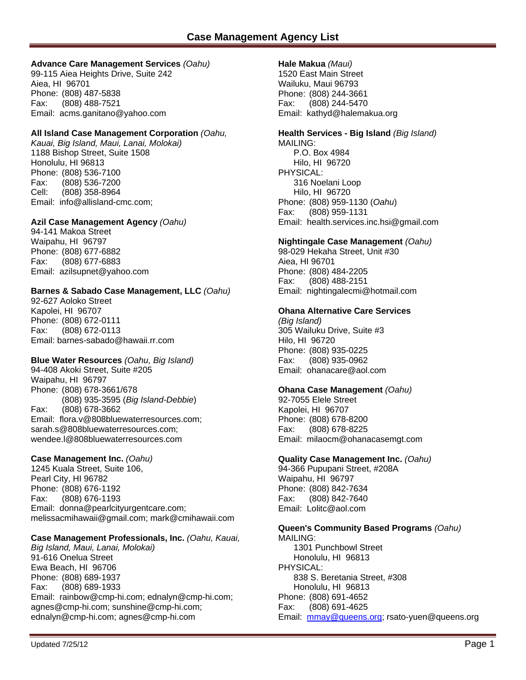# **Advance Care Management Services** *(Oahu)*

99-115 Aiea Heights Drive, Suite 242 Aiea, HI 96701 Phone: (808) 487-5838 Fax: (808) 488-7521 Email: acms.ganitano@yahoo.com

## **All Island Case Management Corporation** *(Oahu,*

*Kauai, Big Island, Maui, Lanai, Molokai)* 1188 Bishop Street, Suite 1508 Honolulu, HI 96813 Phone: (808) 536-7100 Fax: (808) 536-7200 Cell: (808) 358-8964 Email: [info@allisland-cmc.com](mailto:info@allisland-cmc.com);

# **Azil Case Management Agency** *(Oahu)*

94-141 Makoa Street Waipahu, HI 96797 Phone: (808) 677-6882 Fax: (808) 677-6883 Email: azilsupnet@yahoo.com

# **Barnes & Sabado Case Management, LLC** *(Oahu)*

92-627 Aoloko Street Kapolei, HI 96707 Phone: (808) 672-0111 Fax: (808) 672-0113 Email: barnes-sabado@hawaii.rr.com

### **Blue Water Resources** *(Oahu, Big Island)*

94-408 Akoki Street, Suite #205 Waipahu, HI 96797 Phone: (808) 678-3661/678 (808) 935-3595 (*Big Island-Debbie*) Fax: (808) 678-3662 Email: flora.v@808bluewaterresources.com; sarah.s@808bluewaterresources.com; wendee.l@808bluewaterresources.com

### **Case Management Inc.** *(Oahu)*

1245 Kuala Street, Suite 106, Pearl City, HI 96782 Phone: (808) 676-1192 Fax: (808) 676-1193 Email: [donna@pearlcityurgentcare.com](mailto:donna@pearlcityurgentcare.com); [melissacmihawaii@gmail.com](mailto:melissacmihawaii@gmail.com); mark@cmihawaii.com

### **Case Management Professionals, Inc.** *(Oahu, Kauai,*

*Big Island, Maui, Lanai, Molokai)*  91-616 Onelua Street Ewa Beach, HI 96706 Phone: (808) 689-1937 Fax: (808) 689-1933 Email: rainbow@cmp-hi.com; ednalyn@cmp-hi.com; agnes@cmp-hi.com; sunshine@cmp-hi.com; ednalyn@cmp-hi.com; agnes@cmp-hi.com

# **Hale Makua** *(Maui)*

1520 East Main Street Wailuku, Maui 96793 Phone: (808) 244-3661 Fax: (808) 244-5470 Email: kathyd@halemakua.org

# **Health Services - Big Island** *(Big Island)*

MAILING: P.O. Box 4984 Hilo, HI 96720 PHYSICAL: 316 Noelani Loop Hilo, HI 96720 Phone: (808) 959-1130 (*Oahu*) Fax: (808) 959-1131 Email: health.services.inc.hsi@gmail.com

### **Nightingale Case Management** *(Oahu)*

98-029 Hekaha Street, Unit #30 Aiea, HI 96701 Phone: (808) 484-2205 Fax: (808) 488-2151 Email: nightingalecmi@hotmail.com

#### **Ohana Alternative Care Services**

*(Big Island)*  305 Wailuku Drive, Suite #3 Hilo, HI 96720 Phone: (808) 935-0225 Fax: (808) 935-0962 Email: ohanacare@aol.com

#### **Ohana Case Management** *(Oahu)*

92-7055 Elele Street Kapolei, HI 96707 Phone: (808) 678-8200 Fax: (808) 678-8225 Email: milaocm@ohanacasemgt.com

### **Quality Case Management Inc.** *(Oahu)*

94-366 Pupupani Street, #208A Waipahu, HI 96797 Phone: (808) 842-7634 Fax: (808) 842-7640 Email: [Lolitc@aol.com](mailto:Lolitc@aol.com) 

### **Queen's Community Based Programs** *(Oahu)*

MAILING: 1301 Punchbowl Street Honolulu, HI 96813 PHYSICAL: 838 S. Beretania Street, #308 Honolulu, HI 96813 Phone: (808) 691-4652 Fax: (808) 691-4625 Email: [mmay@queens.org;](mailto:mmay@queens.org) rsato-yuen@queens.org